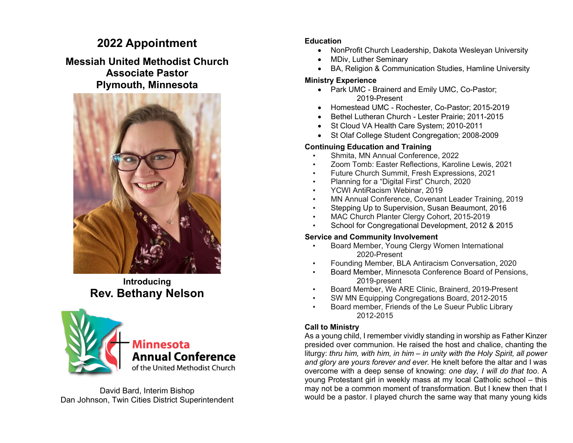# **2022 Appointment**

## **Messiah United Methodist Church Associate Pastor Plymouth, Minnesota**



**Introducing Rev. Bethany Nelson**



David Bard, Interim Bishop Dan Johnson, Twin Cities District Superintendent

### **Education**

- NonProfit Church Leadership, Dakota Wesleyan University
- MDiv, Luther Seminary
- BA, Religion & Communication Studies, Hamline University

### **Ministry Experience**

- Park UMC Brainerd and Emily UMC, Co-Pastor; 2019-Present
- Homestead UMC Rochester, Co-Pastor; 2015-2019
- Bethel Lutheran Church Lester Prairie; 2011-2015
- St Cloud VA Health Care System; 2010-2011
- St Olaf College Student Congregation; 2008-2009

### **Continuing Education and Training**

- Shmita, MN Annual Conference, 2022
- Zoom Tomb: Easter Reflections, Karoline Lewis, 2021
- Future Church Summit, Fresh Expressions, 2021
- Planning for a "Digital First" Church, 2020
- YCWI AntiRacism Webinar, 2019
- MN Annual Conference, Covenant Leader Training, 2019
- Stepping Up to Supervision, Susan Beaumont, 2016
- MAC Church Planter Clergy Cohort, 2015-2019
- School for Congregational Development, 2012 & 2015

### **Service and Community Involvement**

- Board Member, Young Clergy Women International 2020-Present
- Founding Member, BLA Antiracism Conversation, 2020
- Board Member, Minnesota Conference Board of Pensions, 2019-present
- Board Member, We ARE Clinic, Brainerd, 2019-Present
- SW MN Equipping Congregations Board, 2012-2015
- Board member, Friends of the Le Sueur Public Library 2012-2015

### **Call to Ministry**

As a young child, I remember vividly standing in worship as Father Kinzer presided over communion. He raised the host and chalice, chanting the liturgy: *thru him, with him, in him – in unity with the Holy Spirit, all power and glory are yours forever and ever.* He knelt before the altar and I was overcome with a deep sense of knowing: *one day, I will do that too*. A young Protestant girl in weekly mass at my local Catholic school – this may not be a common moment of transformation. But I knew then that I would be a pastor. I played church the same way that many young kids